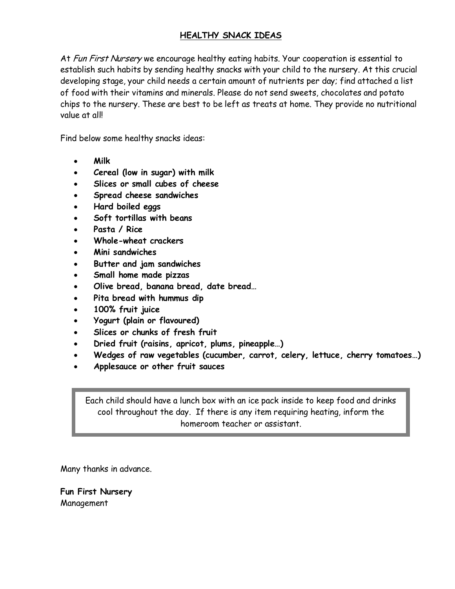## **HEALTHY SNACK IDEAS**

At Fun First Nursery we encourage healthy eating habits. Your cooperation is essential to establish such habits by sending healthy snacks with your child to the nursery. At this crucial developing stage, your child needs a certain amount of nutrients per day; find attached a list of food with their vitamins and minerals. Please do not send sweets, chocolates and potato chips to the nursery. These are best to be left as treats at home. They provide no nutritional value at all!

Find below some healthy snacks ideas:

- **Milk**
- **Cereal (low in sugar) with milk**
- **Slices or small cubes of cheese**
- **Spread cheese sandwiches**
- **Hard boiled eggs**
- **Soft tortillas with beans**
- **Pasta / Rice**
- **Whole-wheat crackers**
- **Mini sandwiches**
- **Butter and jam sandwiches**
- **Small home made pizzas**
- **Olive bread, banana bread, date bread…**
- **Pita bread with hummus dip**
- **100% fruit juice**
- **Yogurt (plain or flavoured)**
- **Slices or chunks of fresh fruit**
- **Dried fruit (raisins, apricot, plums, pineapple…)**
- **Wedges of raw vegetables (cucumber, carrot, celery, lettuce, cherry tomatoes…)**
- **Applesauce or other fruit sauces**

Each child should have a lunch box with an ice pack inside to keep food and drinks cool throughout the day. If there is any item requiring heating, inform the homeroom teacher or assistant.

Many thanks in advance.

**Fun First Nursery**  Management